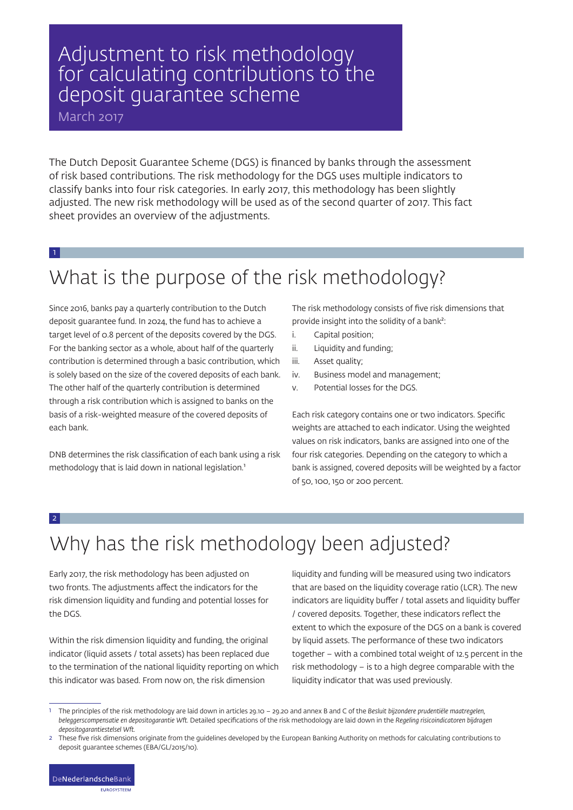## Adjustment to risk methodology for calculating contributions to the deposit guarantee scheme

March 2017

The Dutch Deposit Guarantee Scheme (DGS) is financed by banks through the assessment of risk based contributions. The risk methodology for the DGS uses multiple indicators to classify banks into four risk categories. In early 2017, this methodology has been slightly adjusted. The new risk methodology will be used as of the second quarter of 2017. This fact sheet provides an overview of the adjustments.

#### 1

# What is the purpose of the risk methodology?

Since 2016, banks pay a quarterly contribution to the Dutch deposit guarantee fund. In 2024, the fund has to achieve a target level of 0.8 percent of the deposits covered by the DGS. For the banking sector as a whole, about half of the quarterly contribution is determined through a basic contribution, which is solely based on the size of the covered deposits of each bank. The other half of the quarterly contribution is determined through a risk contribution which is assigned to banks on the basis of a risk-weighted measure of the covered deposits of each bank.

DNB determines the risk classification of each bank using a risk methodology that is laid down in national legislation.<sup>1</sup>

The risk methodology consists of five risk dimensions that provide insight into the solidity of a bank²:

- i. Capital position;
- ii. Liquidity and funding;
- iii. Asset quality;
- iv. Business model and management;
- v. Potential losses for the DGS.

Each risk category contains one or two indicators. Specific weights are attached to each indicator. Using the weighted values on risk indicators, banks are assigned into one of the four risk categories. Depending on the category to which a bank is assigned, covered deposits will be weighted by a factor of 50, 100, 150 or 200 percent.

#### 2

# Why has the risk methodology been adjusted?

Early 2017, the risk methodology has been adjusted on two fronts. The adjustments affect the indicators for the risk dimension liquidity and funding and potential losses for the DGS.

Within the risk dimension liquidity and funding, the original indicator (liquid assets / total assets) has been replaced due to the termination of the national liquidity reporting on which this indicator was based. From now on, the risk dimension

liquidity and funding will be measured using two indicators that are based on the liquidity coverage ratio (LCR). The new indicators are liquidity buffer / total assets and liquidity buffer / covered deposits. Together, these indicators reflect the extent to which the exposure of the DGS on a bank is covered by liquid assets. The performance of these two indicators together – with a combined total weight of 12.5 percent in the risk methodology – is to a high degree comparable with the liquidity indicator that was used previously.

1 The principles of the risk methodology are laid down in articles 29.10 – 29.20 and annex B and C of the *Besluit bijzondere prudentiële maatregelen, beleggerscompensatie en depositogarantie Wft.* Detailed specifications of the risk methodology are laid down in the *Regeling risicoindicatoren bijdragen depositogarantiestelsel Wft.*

**FUROSYSTEEM** 

<sup>2</sup> These five risk dimensions originate from the guidelines developed by the European Banking Authority on methods for calculating contributions to deposit guarantee schemes (EBA/GL/2015/10).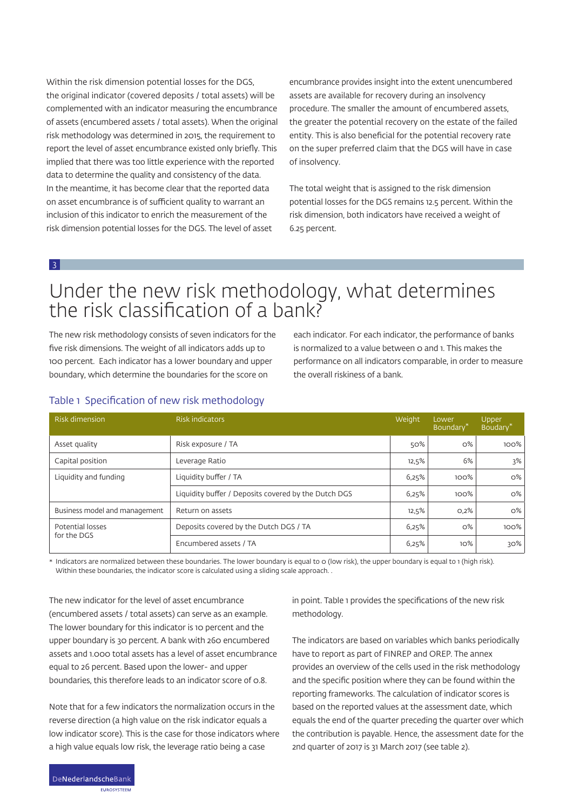Within the risk dimension potential losses for the DGS, the original indicator (covered deposits / total assets) will be complemented with an indicator measuring the encumbrance of assets (encumbered assets / total assets). When the original risk methodology was determined in 2015, the requirement to report the level of asset encumbrance existed only briefly. This implied that there was too little experience with the reported data to determine the quality and consistency of the data. In the meantime, it has become clear that the reported data on asset encumbrance is of sufficient quality to warrant an inclusion of this indicator to enrich the measurement of the risk dimension potential losses for the DGS. The level of asset

encumbrance provides insight into the extent unencumbered assets are available for recovery during an insolvency procedure. The smaller the amount of encumbered assets, the greater the potential recovery on the estate of the failed entity. This is also beneficial for the potential recovery rate on the super preferred claim that the DGS will have in case of insolvency.

The total weight that is assigned to the risk dimension potential losses for the DGS remains 12.5 percent. Within the risk dimension, both indicators have received a weight of 6.25 percent.

3

### Under the new risk methodology, what determines the risk classification of a bank?

The new risk methodology consists of seven indicators for the five risk dimensions. The weight of all indicators adds up to 100 percent. Each indicator has a lower boundary and upper boundary, which determine the boundaries for the score on

each indicator. For each indicator, the performance of banks is normalized to a value between 0 and 1. This makes the performance on all indicators comparable, in order to measure the overall riskiness of a bank.

| <b>Risk dimension</b>           | <b>Risk indicators</b>                               | Weight | Lower<br>Boundary <sup>*</sup> | Upper<br>Boudary <sup>*</sup> |
|---------------------------------|------------------------------------------------------|--------|--------------------------------|-------------------------------|
| Asset quality                   | Risk exposure / TA                                   | 50%    | $O\%$                          | $100\%$                       |
| Capital position                | Leverage Ratio                                       | 12,5%  | 6%                             | 3%                            |
| Liquidity and funding           | Liquidity buffer / TA                                |        | 100%                           | $0\%$                         |
|                                 | Liquidity buffer / Deposits covered by the Dutch DGS | 6,25%  | 100%                           | $0\%$                         |
| Business model and management   | Return on assets                                     | 12,5%  | O,2%                           | $O\%$                         |
| Potential losses<br>for the DGS | Deposits covered by the Dutch DGS / TA               | 6,25%  | $O\%$                          | 100%                          |
|                                 | Encumbered assets / TA                               | 6,25%  | $10\%$                         | 30%                           |

### Table 1 Specification of new risk methodology

Indicators are normalized between these boundaries. The lower boundary is equal to 0 (low risk), the upper boundary is equal to 1 (high risk). Within these boundaries, the indicator score is calculated using a sliding scale approach. .

The new indicator for the level of asset encumbrance (encumbered assets / total assets) can serve as an example. The lower boundary for this indicator is 10 percent and the upper boundary is 30 percent. A bank with 260 encumbered assets and 1.000 total assets has a level of asset encumbrance equal to 26 percent. Based upon the lower- and upper boundaries, this therefore leads to an indicator score of 0.8.

Note that for a few indicators the normalization occurs in the reverse direction (a high value on the risk indicator equals a low indicator score). This is the case for those indicators where a high value equals low risk, the leverage ratio being a case

in point. Table 1 provides the specifications of the new risk methodology.

The indicators are based on variables which banks periodically have to report as part of FINREP and OREP. The annex provides an overview of the cells used in the risk methodology and the specific position where they can be found within the reporting frameworks. The calculation of indicator scores is based on the reported values at the assessment date, which equals the end of the quarter preceding the quarter over which the contribution is payable. Hence, the assessment date for the 2nd quarter of 2017 is 31 March 2017 (see table 2).

**ELIDOSVETEEM**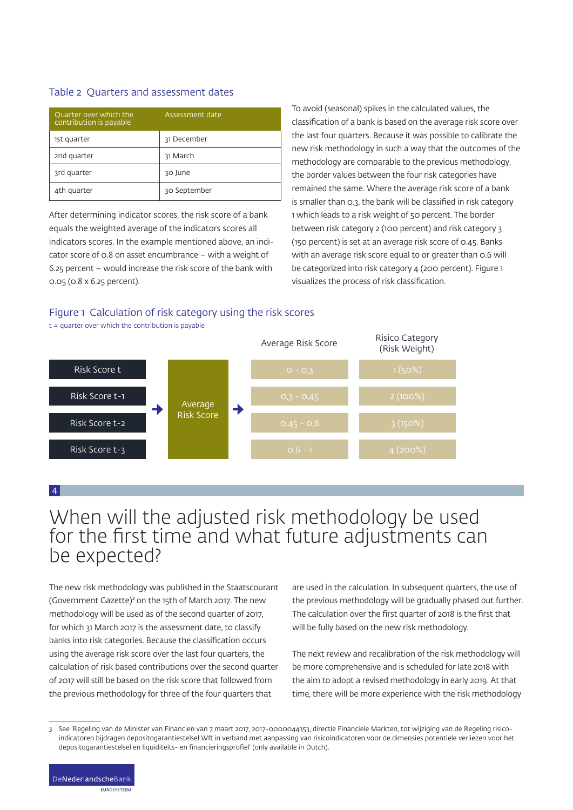#### Table 2 Quarters and assessment dates

| Ouarter over which the<br>contribution is payable | Assessment date |  |
|---------------------------------------------------|-----------------|--|
| 1st quarter                                       | 31 December     |  |
| 2nd quarter                                       | 31 March        |  |
| 3rd quarter                                       | 30 June         |  |
| 4th quarter                                       | 30 September    |  |

After determining indicator scores, the risk score of a bank equals the weighted average of the indicators scores all indicators scores. In the example mentioned above, an indicator score of 0.8 on asset encumbrance – with a weight of 6.25 percent – would increase the risk score of the bank with 0.05 (0.8 x 6.25 percent).

To avoid (seasonal) spikes in the calculated values, the classification of a bank is based on the average risk score over the last four quarters. Because it was possible to calibrate the new risk methodology in such a way that the outcomes of the methodology are comparable to the previous methodology, the border values between the four risk categories have remained the same. Where the average risk score of a bank is smaller than 0.3, the bank will be classified in risk category 1 which leads to a risk weight of 50 percent. The border between risk category 2 (100 percent) and risk category 3 (150 percent) is set at an average risk score of 0.45. Banks with an average risk score equal to or greater than 0.6 will be categorized into risk category 4 (200 percent). Figure 1 visualizes the process of risk classification.

### Figure 1 Calculation of risk category using the risk scores



4

### When will the adjusted risk methodology be used for the first time and what future adjustments can be expected?

The new risk methodology was published in the Staatscourant (Government Gazette)<sup>3</sup> on the 15th of March 2017. The new methodology will be used as of the second quarter of 2017, for which 31 March 2017 is the assessment date, to classify banks into risk categories. Because the classification occurs using the average risk score over the last four quarters, the calculation of risk based contributions over the second quarter of 2017 will still be based on the risk score that followed from the previous methodology for three of the four quarters that

are used in the calculation. In subsequent quarters, the use of the previous methodology will be gradually phased out further. The calculation over the first quarter of 2018 is the first that will be fully based on the new risk methodology.

The next review and recalibration of the risk methodology will be more comprehensive and is scheduled for late 2018 with the aim to adopt a revised methodology in early 2019. At that time, there will be more experience with the risk methodology

EUROSYSTEEM

<sup>3</sup> See 'Regeling van de Minister van Financien van 7 maart 2017, 2017-0000044353, directie Financiele Markten, tot wijziging van de Regeling risicoindicatoren bijdragen depositogarantiestelsel Wft in verband met aanpassing van risicoindicatoren voor de dimensies potentiele verliezen voor het depositogarantiestelsel en liquiditeits- en financieringsprofiel' (only available in Dutch).